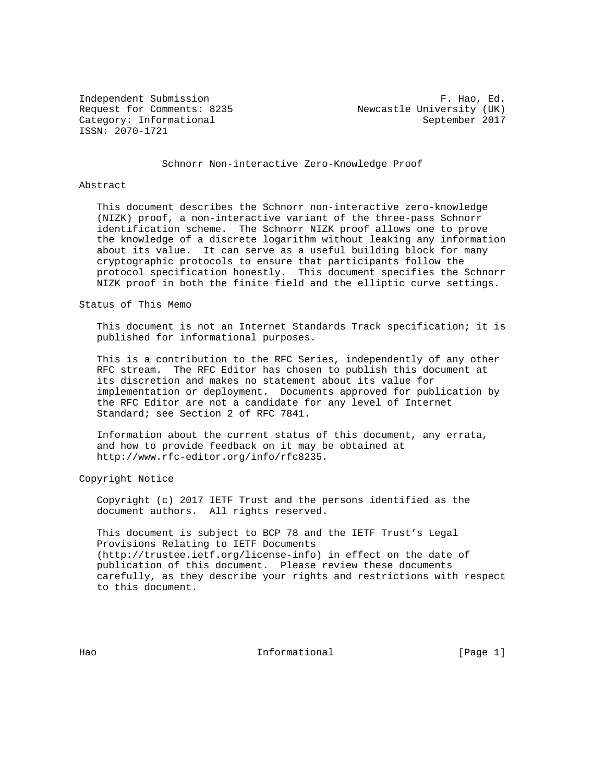ISSN: 2070-1721

Independent Submission **F. Hao, Ed.** Request for Comments: 8235 Newcastle University (UK) Category: Informational September 2017

Schnorr Non-interactive Zero-Knowledge Proof

#### Abstract

 This document describes the Schnorr non-interactive zero-knowledge (NIZK) proof, a non-interactive variant of the three-pass Schnorr identification scheme. The Schnorr NIZK proof allows one to prove the knowledge of a discrete logarithm without leaking any information about its value. It can serve as a useful building block for many cryptographic protocols to ensure that participants follow the protocol specification honestly. This document specifies the Schnorr NIZK proof in both the finite field and the elliptic curve settings.

Status of This Memo

 This document is not an Internet Standards Track specification; it is published for informational purposes.

 This is a contribution to the RFC Series, independently of any other RFC stream. The RFC Editor has chosen to publish this document at its discretion and makes no statement about its value for implementation or deployment. Documents approved for publication by the RFC Editor are not a candidate for any level of Internet Standard; see Section 2 of RFC 7841.

 Information about the current status of this document, any errata, and how to provide feedback on it may be obtained at http://www.rfc-editor.org/info/rfc8235.

Copyright Notice

 Copyright (c) 2017 IETF Trust and the persons identified as the document authors. All rights reserved.

 This document is subject to BCP 78 and the IETF Trust's Legal Provisions Relating to IETF Documents (http://trustee.ietf.org/license-info) in effect on the date of publication of this document. Please review these documents carefully, as they describe your rights and restrictions with respect to this document.

Hao Informational (Page 1)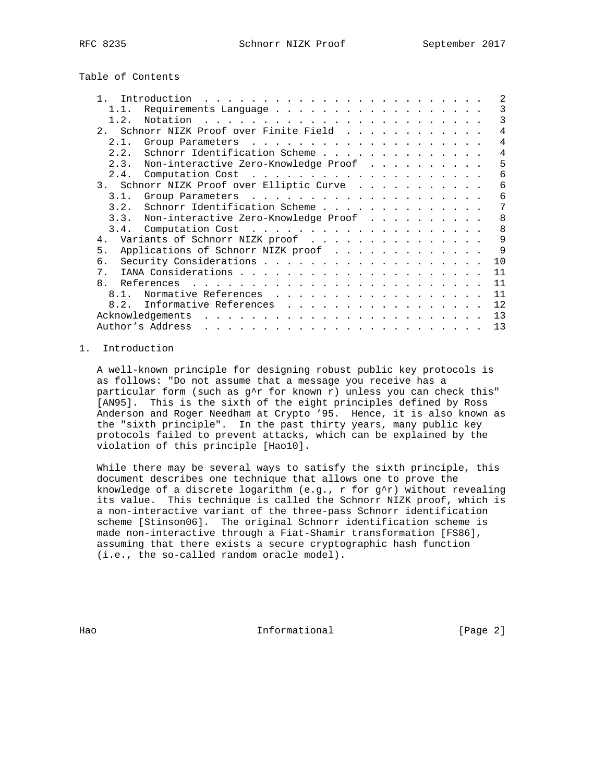Table of Contents

|       | Introduction<br>and a complete that the complete the complete theory of the complete theory of the complete theory of the complete theory of the complete theory of the complete theory of the complete theory of the complete theory of the c  | 2              |
|-------|-------------------------------------------------------------------------------------------------------------------------------------------------------------------------------------------------------------------------------------------------|----------------|
| 1.1.  | Requirements Language                                                                                                                                                                                                                           | 3              |
| 1.2.  |                                                                                                                                                                                                                                                 | 3              |
| 2.    | Schnorr NIZK Proof over Finite Field                                                                                                                                                                                                            | 4              |
| 2.1.  |                                                                                                                                                                                                                                                 | $\overline{4}$ |
| 2.2.  | Schnorr Identification Scheme                                                                                                                                                                                                                   | 4              |
| 2.3.  | Non-interactive Zero-Knowledge Proof                                                                                                                                                                                                            | 5              |
|       |                                                                                                                                                                                                                                                 | 6              |
| 3.    | Schnorr NIZK Proof over Elliptic Curve                                                                                                                                                                                                          | 6              |
| 3.1.  |                                                                                                                                                                                                                                                 | 6              |
| 3.2.  | Schnorr Identification Scheme                                                                                                                                                                                                                   | 7              |
| 3.3.  | Non-interactive Zero-Knowledge Proof                                                                                                                                                                                                            | 8              |
| 3.4.  |                                                                                                                                                                                                                                                 | 8              |
| 4.    | Variants of Schnorr NIZK proof                                                                                                                                                                                                                  | 9              |
| 5.    | Applications of Schnorr NIZK proof                                                                                                                                                                                                              | $\mathsf{Q}$   |
| б.    |                                                                                                                                                                                                                                                 | 10             |
| $7$ . |                                                                                                                                                                                                                                                 | 11             |
| 8.    | References<br>$\mathbf{1}$ . The contract of the contract of the contract of the contract of the contract of the contract of the contract of the contract of the contract of the contract of the contract of the contract of the contract of th | 11             |
| 8.1.  | Normative References                                                                                                                                                                                                                            | 11             |
| 8.2.  | Informative References<br>.                                                                                                                                                                                                                     | 12             |
|       | Acknowledgements<br><u>in the second contract of the second second</u>                                                                                                                                                                          | 13             |
|       | Author's Address<br>فالقارض والمراقب والقارم والمراقب والمراقب والمراقب والمراقب والمراقب والمراقب والمراقب                                                                                                                                     | 13             |
|       |                                                                                                                                                                                                                                                 |                |

## 1. Introduction

 A well-known principle for designing robust public key protocols is as follows: "Do not assume that a message you receive has a particular form (such as  $g^{\wedge}$ r for known r) unless you can check this" [AN95]. This is the sixth of the eight principles defined by Ross Anderson and Roger Needham at Crypto '95. Hence, it is also known as the "sixth principle". In the past thirty years, many public key protocols failed to prevent attacks, which can be explained by the violation of this principle [Hao10].

 While there may be several ways to satisfy the sixth principle, this document describes one technique that allows one to prove the knowledge of a discrete logarithm  $(e.g., r for g^r)$  without revealing its value. This technique is called the Schnorr NIZK proof, which is a non-interactive variant of the three-pass Schnorr identification scheme [Stinson06]. The original Schnorr identification scheme is made non-interactive through a Fiat-Shamir transformation [FS86], assuming that there exists a secure cryptographic hash function (i.e., the so-called random oracle model).

Hao **Informational Informational** [Page 2]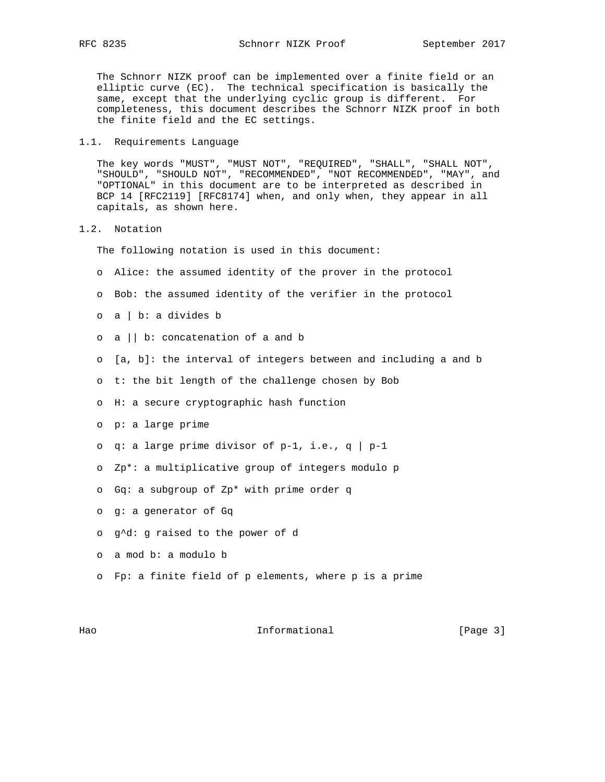The Schnorr NIZK proof can be implemented over a finite field or an elliptic curve (EC). The technical specification is basically the same, except that the underlying cyclic group is different. For completeness, this document describes the Schnorr NIZK proof in both the finite field and the EC settings.

1.1. Requirements Language

 The key words "MUST", "MUST NOT", "REQUIRED", "SHALL", "SHALL NOT", "SHOULD", "SHOULD NOT", "RECOMMENDED", "NOT RECOMMENDED", "MAY", and "OPTIONAL" in this document are to be interpreted as described in BCP 14 [RFC2119] [RFC8174] when, and only when, they appear in all capitals, as shown here.

1.2. Notation

The following notation is used in this document:

- o Alice: the assumed identity of the prover in the protocol
- o Bob: the assumed identity of the verifier in the protocol
- o a | b: a divides b
- o a || b: concatenation of a and b
- o [a, b]: the interval of integers between and including a and b
- o t: the bit length of the challenge chosen by Bob
- o H: a secure cryptographic hash function
- o p: a large prime
- o q: a large prime divisor of  $p-1$ , i.e., q |  $p-1$
- o Zp\*: a multiplicative group of integers modulo p
- o Gq: a subgroup of Zp\* with prime order q
- o g: a generator of Gq
- o g^d: g raised to the power of d
- o a mod b: a modulo b
- o Fp: a finite field of p elements, where p is a prime

Hao Informational [Page 3]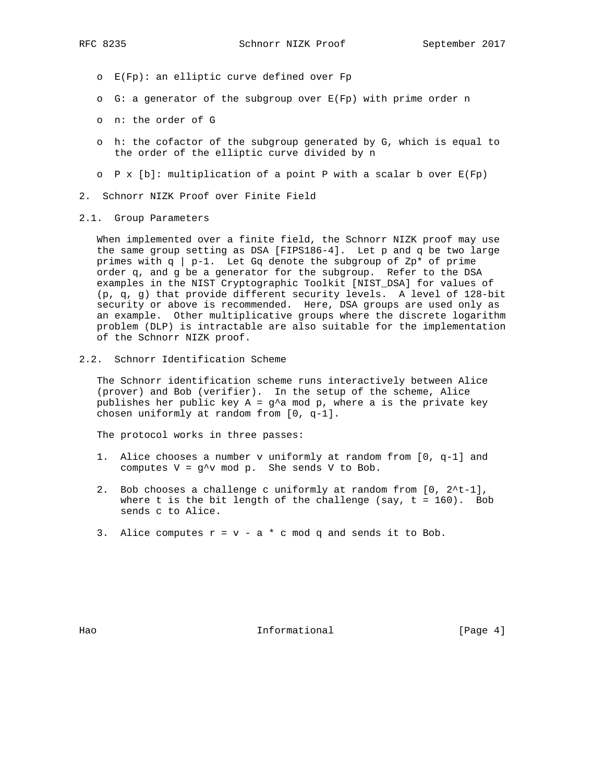- o E(Fp): an elliptic curve defined over Fp
- o G: a generator of the subgroup over E(Fp) with prime order n
- o n: the order of G
- o h: the cofactor of the subgroup generated by G, which is equal to the order of the elliptic curve divided by n
- $\circ$  P x [b]: multiplication of a point P with a scalar b over  $E(Fp)$
- 2. Schnorr NIZK Proof over Finite Field
- 2.1. Group Parameters

 When implemented over a finite field, the Schnorr NIZK proof may use the same group setting as DSA [FIPS186-4]. Let p and q be two large primes with  $q \mid p-1$ . Let Gq denote the subgroup of Zp\* of prime order q, and g be a generator for the subgroup. Refer to the DSA examples in the NIST Cryptographic Toolkit [NIST\_DSA] for values of (p, q, g) that provide different security levels. A level of 128-bit security or above is recommended. Here, DSA groups are used only as an example. Other multiplicative groups where the discrete logarithm problem (DLP) is intractable are also suitable for the implementation of the Schnorr NIZK proof.

2.2. Schnorr Identification Scheme

 The Schnorr identification scheme runs interactively between Alice (prover) and Bob (verifier). In the setup of the scheme, Alice publishes her public key  $A = g^A$  mod p, where a is the private key chosen uniformly at random from [0, q-1].

The protocol works in three passes:

- 1. Alice chooses a number v uniformly at random from [0, q-1] and computes  $V = g^{\wedge}v \mod p$ . She sends V to Bob.
- 2. Bob chooses a challenge c uniformly at random from [0, 2^t-1], where t is the bit length of the challenge (say,  $t = 160$ ). Bob sends c to Alice.
- 3. Alice computes  $r = v a * c$  mod q and sends it to Bob.

Hao **Informational Informational** [Page 4]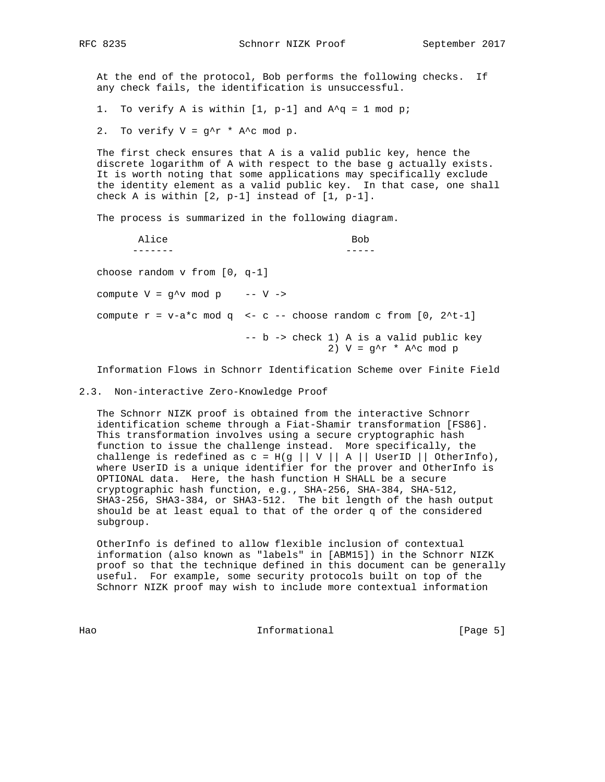At the end of the protocol, Bob performs the following checks. If any check fails, the identification is unsuccessful.

1. To verify A is within  $[1, p-1]$  and  $A^q = 1 \mod p$ ;

2. To verify  $V = g^r r * A^c \mod p$ .

 The first check ensures that A is a valid public key, hence the discrete logarithm of A with respect to the base g actually exists. It is worth noting that some applications may specifically exclude the identity element as a valid public key. In that case, one shall check A is within [2, p-1] instead of [1, p-1].

The process is summarized in the following diagram.

Alice Bob ------- ---- choose random v from [0, q-1] compute  $V = g^{\wedge}v \mod p$  --  $V \rightarrow$ compute  $r = v-a*c \mod q \iff c-c$  -- choose random c from  $[0, 2*t-1]$  -- b -> check 1) A is a valid public key 2)  $V = g^r * A^c \mod p$ 

Information Flows in Schnorr Identification Scheme over Finite Field

2.3. Non-interactive Zero-Knowledge Proof

 The Schnorr NIZK proof is obtained from the interactive Schnorr identification scheme through a Fiat-Shamir transformation [FS86]. This transformation involves using a secure cryptographic hash function to issue the challenge instead. More specifically, the challenge is redefined as  $c = H(g || V || A ||$  UserID || OtherInfo), where UserID is a unique identifier for the prover and OtherInfo is OPTIONAL data. Here, the hash function H SHALL be a secure cryptographic hash function, e.g., SHA-256, SHA-384, SHA-512, SHA3-256, SHA3-384, or SHA3-512. The bit length of the hash output should be at least equal to that of the order q of the considered subgroup.

 OtherInfo is defined to allow flexible inclusion of contextual information (also known as "labels" in [ABM15]) in the Schnorr NIZK proof so that the technique defined in this document can be generally useful. For example, some security protocols built on top of the Schnorr NIZK proof may wish to include more contextual information

Hao Informational (Page 5)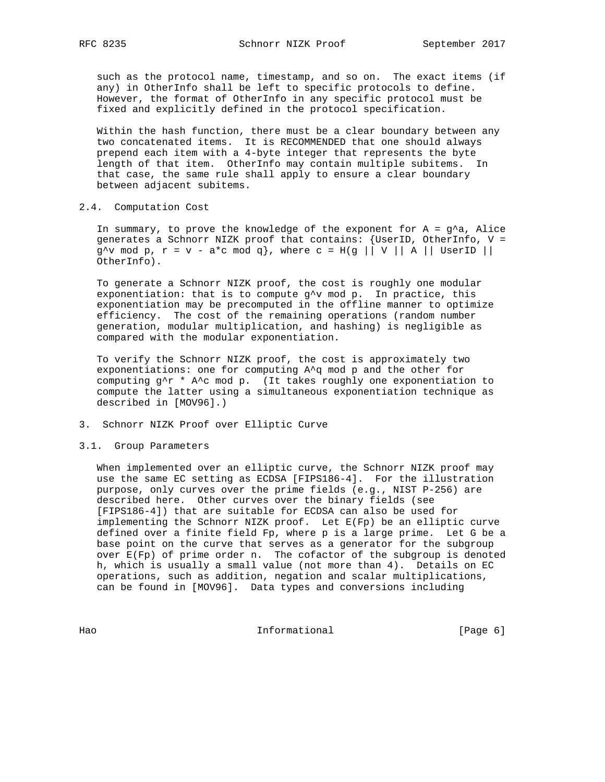such as the protocol name, timestamp, and so on. The exact items (if any) in OtherInfo shall be left to specific protocols to define. However, the format of OtherInfo in any specific protocol must be fixed and explicitly defined in the protocol specification.

 Within the hash function, there must be a clear boundary between any two concatenated items. It is RECOMMENDED that one should always prepend each item with a 4-byte integer that represents the byte length of that item. OtherInfo may contain multiple subitems. In that case, the same rule shall apply to ensure a clear boundary between adjacent subitems.

#### 2.4. Computation Cost

In summary, to prove the knowledge of the exponent for  $A = g^A a$ , Alice generates a Schnorr NIZK proof that contains: {UserID, OtherInfo, V =  $g^{\wedge}v$  mod p,  $r = v - a^{\ast}c \mod q$ , where  $c = H(g \mid |V| | A | | UserID |)$ OtherInfo).

 To generate a Schnorr NIZK proof, the cost is roughly one modular exponentiation: that is to compute  $g^{\wedge}v$  mod p. In practice, this exponentiation may be precomputed in the offline manner to optimize efficiency. The cost of the remaining operations (random number generation, modular multiplication, and hashing) is negligible as compared with the modular exponentiation.

 To verify the Schnorr NIZK proof, the cost is approximately two exponentiations: one for computing A^q mod p and the other for computing g^r \* A^c mod p. (It takes roughly one exponentiation to compute the latter using a simultaneous exponentiation technique as described in [MOV96].)

3. Schnorr NIZK Proof over Elliptic Curve

## 3.1. Group Parameters

 When implemented over an elliptic curve, the Schnorr NIZK proof may use the same EC setting as ECDSA [FIPS186-4]. For the illustration purpose, only curves over the prime fields (e.g., NIST P-256) are described here. Other curves over the binary fields (see [FIPS186-4]) that are suitable for ECDSA can also be used for implementing the Schnorr NIZK proof. Let E(Fp) be an elliptic curve defined over a finite field Fp, where p is a large prime. Let G be a base point on the curve that serves as a generator for the subgroup over E(Fp) of prime order n. The cofactor of the subgroup is denoted h, which is usually a small value (not more than 4). Details on EC operations, such as addition, negation and scalar multiplications, can be found in [MOV96]. Data types and conversions including

Hao Informational [Page 6]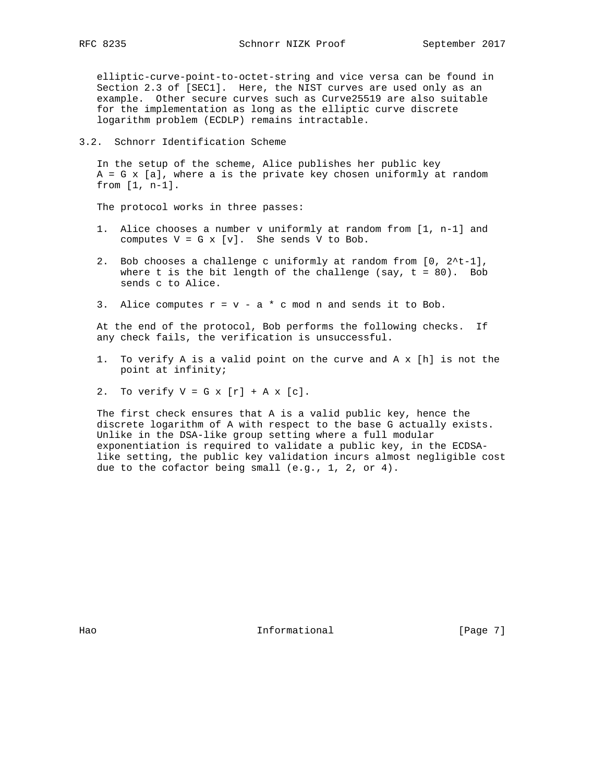elliptic-curve-point-to-octet-string and vice versa can be found in Section 2.3 of [SEC1]. Here, the NIST curves are used only as an example. Other secure curves such as Curve25519 are also suitable for the implementation as long as the elliptic curve discrete logarithm problem (ECDLP) remains intractable.

#### 3.2. Schnorr Identification Scheme

 In the setup of the scheme, Alice publishes her public key A = G x [a], where a is the private key chosen uniformly at random from [1, n-1].

The protocol works in three passes:

- 1. Alice chooses a number v uniformly at random from [1, n-1] and computes  $V = G \times [v]$ . She sends V to Bob.
- 2. Bob chooses a challenge c uniformly at random from [0, 2^t-1], where t is the bit length of the challenge (say,  $t = 80$ ). Bob sends c to Alice.
- 3. Alice computes  $r = v a * c$  mod n and sends it to Bob.

 At the end of the protocol, Bob performs the following checks. If any check fails, the verification is unsuccessful.

- 1. To verify A is a valid point on the curve and A x [h] is not the point at infinity;
- 2. To verify  $V = G x [r] + A x [c]$ .

 The first check ensures that A is a valid public key, hence the discrete logarithm of A with respect to the base G actually exists. Unlike in the DSA-like group setting where a full modular exponentiation is required to validate a public key, in the ECDSA like setting, the public key validation incurs almost negligible cost due to the cofactor being small (e.g., 1, 2, or 4).

Hao **Informational Informational** [Page 7]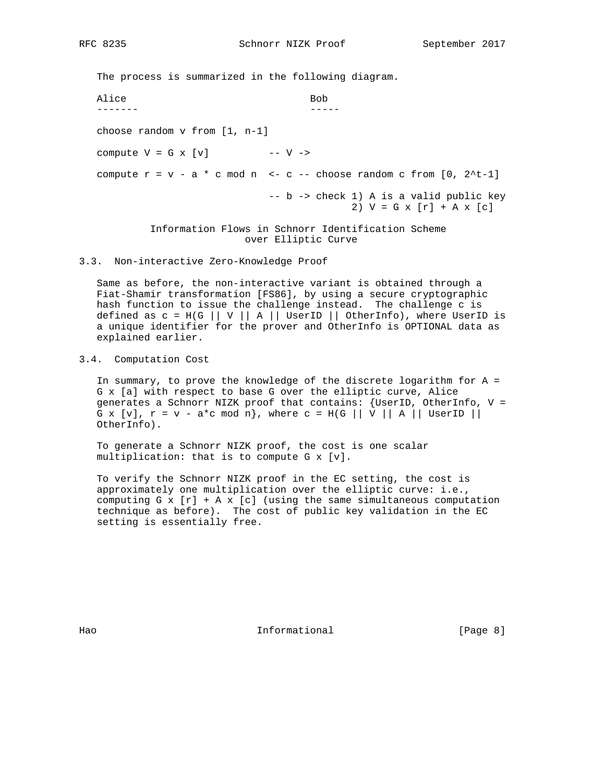The process is summarized in the following diagram.

Alice Bob ------- ---- choose random v from [1, n-1] compute  $V = G \times [v]$  --  $V \rightarrow$ compute  $r = v - a * c$  mod n <- c -- choose random c from  $[0, 2^t-1]$  -- b -> check 1) A is a valid public key 2)  $V = G x [r] + A x [c]$  Information Flows in Schnorr Identification Scheme over Elliptic Curve

3.3. Non-interactive Zero-Knowledge Proof

 Same as before, the non-interactive variant is obtained through a Fiat-Shamir transformation [FS86], by using a secure cryptographic hash function to issue the challenge instead. The challenge c is defined as  $c = H(G || V || A ||$  UserID || OtherInfo), where UserID is a unique identifier for the prover and OtherInfo is OPTIONAL data as explained earlier.

3.4. Computation Cost

 In summary, to prove the knowledge of the discrete logarithm for A = G x [a] with respect to base G over the elliptic curve, Alice generates a Schnorr NIZK proof that contains: {UserID, OtherInfo, V = G x [v],  $r = v - a^*c$  mod n}, where  $c = H(G \mid |V|| A ||$  UserID || OtherInfo).

 To generate a Schnorr NIZK proof, the cost is one scalar multiplication: that is to compute G x [v].

 To verify the Schnorr NIZK proof in the EC setting, the cost is approximately one multiplication over the elliptic curve: i.e., computing  $G \times [r] + A \times [c]$  (using the same simultaneous computation technique as before). The cost of public key validation in the EC setting is essentially free.

Hao **Informational Informational** [Page 8]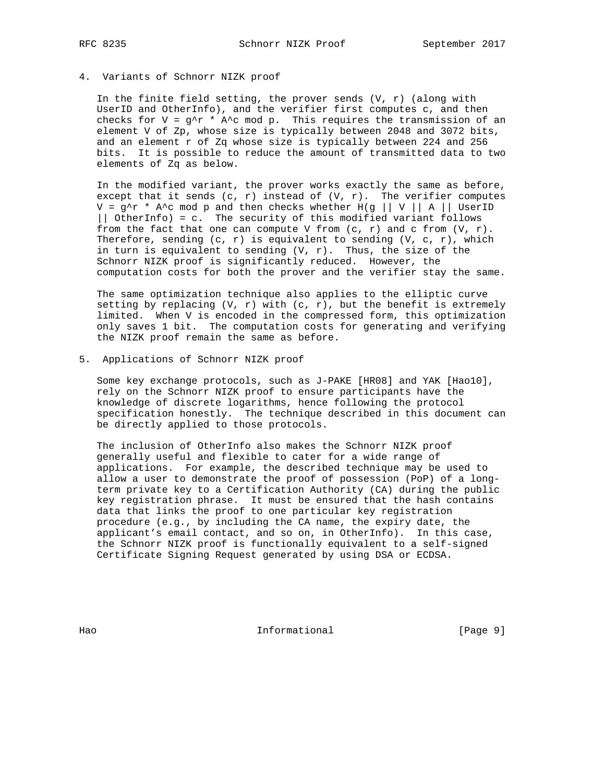## 4. Variants of Schnorr NIZK proof

In the finite field setting, the prover sends  $(V, r)$  (along with UserID and OtherInfo), and the verifier first computes c, and then checks for V =  $g^{\wedge}r$  \* A $^{\wedge}c$  mod p. This requires the transmission of an element V of Zp, whose size is typically between 2048 and 3072 bits, and an element r of Zq whose size is typically between 224 and 256 bits. It is possible to reduce the amount of transmitted data to two elements of Zq as below.

 In the modified variant, the prover works exactly the same as before, except that it sends  $(c, r)$  instead of  $(V, r)$ . The verifier computes  $V = g^r \cdot A^c$  mod p and then checks whether  $H(g \mid | V | A |)$  UserID || OtherInfo) = c. The security of this modified variant follows from the fact that one can compute V from  $(c, r)$  and c from  $(V, r)$ . Therefore, sending  $(c, r)$  is equivalent to sending  $(V, c, r)$ , which in turn is equivalent to sending  $(V, r)$ . Thus, the size of the Schnorr NIZK proof is significantly reduced. However, the computation costs for both the prover and the verifier stay the same.

 The same optimization technique also applies to the elliptic curve setting by replacing  $(V, r)$  with  $(c, r)$ , but the benefit is extremely limited. When V is encoded in the compressed form, this optimization only saves 1 bit. The computation costs for generating and verifying the NIZK proof remain the same as before.

5. Applications of Schnorr NIZK proof

 Some key exchange protocols, such as J-PAKE [HR08] and YAK [Hao10], rely on the Schnorr NIZK proof to ensure participants have the knowledge of discrete logarithms, hence following the protocol specification honestly. The technique described in this document can be directly applied to those protocols.

 The inclusion of OtherInfo also makes the Schnorr NIZK proof generally useful and flexible to cater for a wide range of applications. For example, the described technique may be used to allow a user to demonstrate the proof of possession (PoP) of a long term private key to a Certification Authority (CA) during the public key registration phrase. It must be ensured that the hash contains data that links the proof to one particular key registration procedure (e.g., by including the CA name, the expiry date, the applicant's email contact, and so on, in OtherInfo). In this case, the Schnorr NIZK proof is functionally equivalent to a self-signed Certificate Signing Request generated by using DSA or ECDSA.

Hao **Informational** Page 9]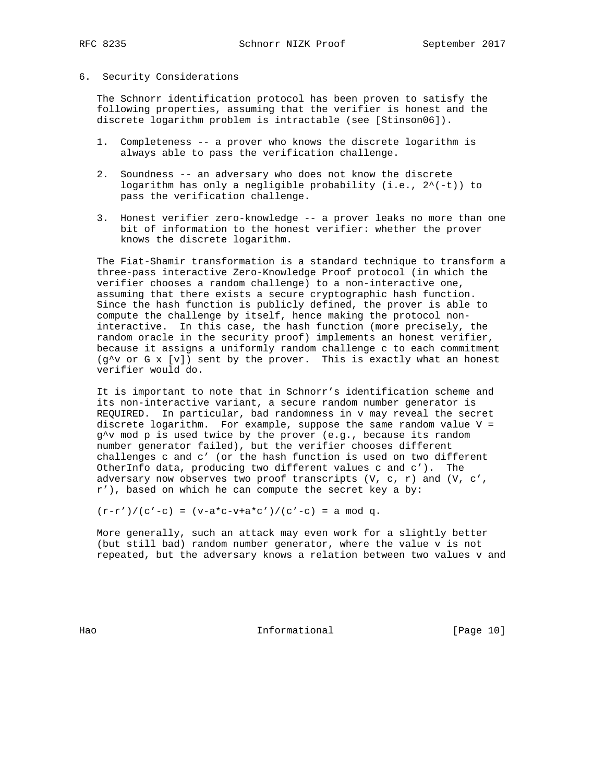#### 6. Security Considerations

 The Schnorr identification protocol has been proven to satisfy the following properties, assuming that the verifier is honest and the discrete logarithm problem is intractable (see [Stinson06]).

- 1. Completeness -- a prover who knows the discrete logarithm is always able to pass the verification challenge.
- 2. Soundness -- an adversary who does not know the discrete logarithm has only a negligible probability  $(i.e., 2^*(-t))$  to pass the verification challenge.
- 3. Honest verifier zero-knowledge -- a prover leaks no more than one bit of information to the honest verifier: whether the prover knows the discrete logarithm.

 The Fiat-Shamir transformation is a standard technique to transform a three-pass interactive Zero-Knowledge Proof protocol (in which the verifier chooses a random challenge) to a non-interactive one, assuming that there exists a secure cryptographic hash function. Since the hash function is publicly defined, the prover is able to compute the challenge by itself, hence making the protocol non interactive. In this case, the hash function (more precisely, the random oracle in the security proof) implements an honest verifier, because it assigns a uniformly random challenge c to each commitment  $(g^{\wedge}v$  or G x  $[v]$ ) sent by the prover. This is exactly what an honest verifier would do.

 It is important to note that in Schnorr's identification scheme and its non-interactive variant, a secure random number generator is REQUIRED. In particular, bad randomness in v may reveal the secret discrete logarithm. For example, suppose the same random value V = g^v mod p is used twice by the prover (e.g., because its random number generator failed), but the verifier chooses different challenges c and c' (or the hash function is used on two different OtherInfo data, producing two different values c and c'). The adversary now observes two proof transcripts  $(V, c, r)$  and  $(V, c', r)$ r'), based on which he can compute the secret key a by:

 $(r-r')/(c'-c) = (v-a*c-v+a*c')/(c'-c) = a mod q.$ 

 More generally, such an attack may even work for a slightly better (but still bad) random number generator, where the value v is not repeated, but the adversary knows a relation between two values v and

Hao Informational [Page 10]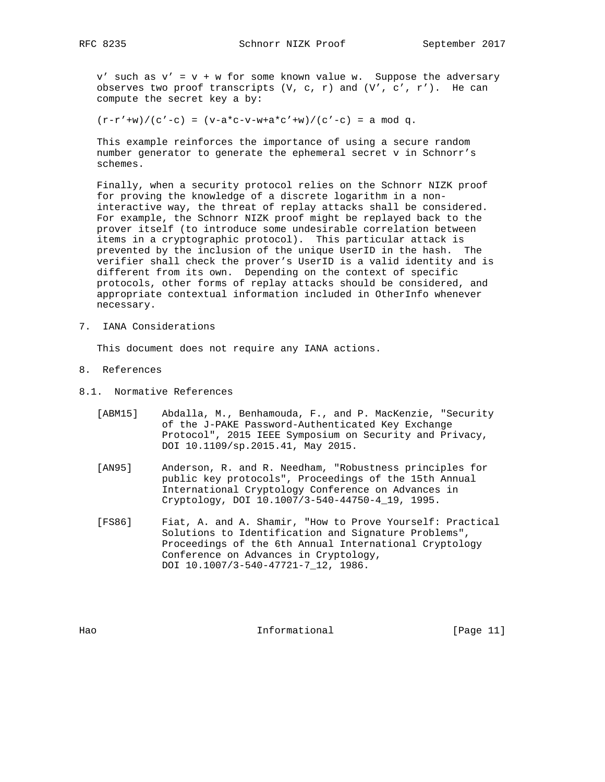$v'$  such as  $v' = v + w$  for some known value w. Suppose the adversary observes two proof transcripts  $(V, c, r)$  and  $(V', c', r')$ . He can compute the secret key a by:

 $(r-r'+w)/(c'-c) = (v-a*c-v-w+a*c'+w)/(c'-c) = a mod q.$ 

 This example reinforces the importance of using a secure random number generator to generate the ephemeral secret v in Schnorr's schemes.

 Finally, when a security protocol relies on the Schnorr NIZK proof for proving the knowledge of a discrete logarithm in a non interactive way, the threat of replay attacks shall be considered. For example, the Schnorr NIZK proof might be replayed back to the prover itself (to introduce some undesirable correlation between items in a cryptographic protocol). This particular attack is prevented by the inclusion of the unique UserID in the hash. The verifier shall check the prover's UserID is a valid identity and is different from its own. Depending on the context of specific protocols, other forms of replay attacks should be considered, and appropriate contextual information included in OtherInfo whenever necessary.

7. IANA Considerations

This document does not require any IANA actions.

- 8. References
- 8.1. Normative References
	- [ABM15] Abdalla, M., Benhamouda, F., and P. MacKenzie, "Security of the J-PAKE Password-Authenticated Key Exchange Protocol", 2015 IEEE Symposium on Security and Privacy, DOI 10.1109/sp.2015.41, May 2015.
	- [AN95] Anderson, R. and R. Needham, "Robustness principles for public key protocols", Proceedings of the 15th Annual International Cryptology Conference on Advances in Cryptology, DOI 10.1007/3-540-44750-4\_19, 1995.
	- [FS86] Fiat, A. and A. Shamir, "How to Prove Yourself: Practical Solutions to Identification and Signature Problems", Proceedings of the 6th Annual International Cryptology Conference on Advances in Cryptology, DOI 10.1007/3-540-47721-7\_12, 1986.

Hao **Informational** [Page 11]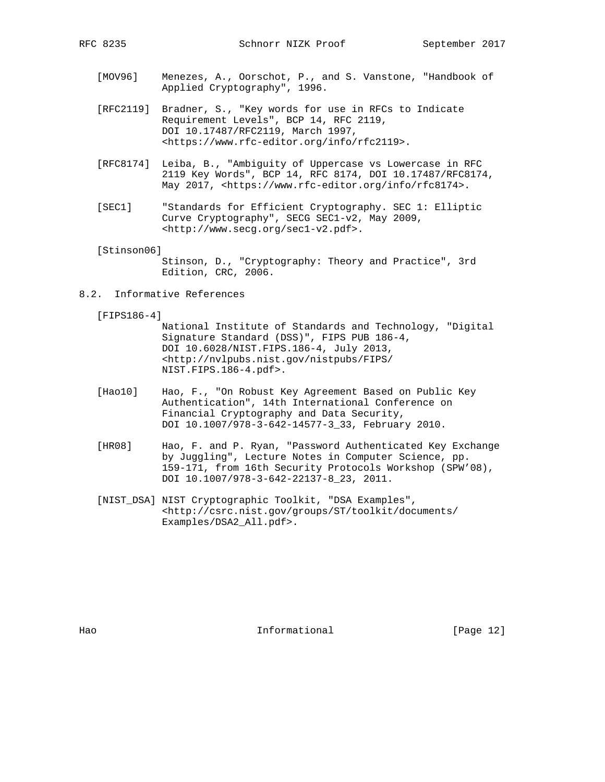- [MOV96] Menezes, A., Oorschot, P., and S. Vanstone, "Handbook of Applied Cryptography", 1996.
- [RFC2119] Bradner, S., "Key words for use in RFCs to Indicate Requirement Levels", BCP 14, RFC 2119, DOI 10.17487/RFC2119, March 1997, <https://www.rfc-editor.org/info/rfc2119>.
- [RFC8174] Leiba, B., "Ambiguity of Uppercase vs Lowercase in RFC 2119 Key Words", BCP 14, RFC 8174, DOI 10.17487/RFC8174, May 2017, <https://www.rfc-editor.org/info/rfc8174>.
- [SEC1] "Standards for Efficient Cryptography. SEC 1: Elliptic Curve Cryptography", SECG SEC1-v2, May 2009, <http://www.secg.org/sec1-v2.pdf>.

[Stinson06]

 Stinson, D., "Cryptography: Theory and Practice", 3rd Edition, CRC, 2006.

8.2. Informative References

[FIPS186-4]

- National Institute of Standards and Technology, "Digital Signature Standard (DSS)", FIPS PUB 186-4, DOI 10.6028/NIST.FIPS.186-4, July 2013, <http://nvlpubs.nist.gov/nistpubs/FIPS/ NIST.FIPS.186-4.pdf>.
- [Hao10] Hao, F., "On Robust Key Agreement Based on Public Key Authentication", 14th International Conference on Financial Cryptography and Data Security, DOI 10.1007/978-3-642-14577-3\_33, February 2010.
- [HR08] Hao, F. and P. Ryan, "Password Authenticated Key Exchange by Juggling", Lecture Notes in Computer Science, pp. 159-171, from 16th Security Protocols Workshop (SPW'08), DOI 10.1007/978-3-642-22137-8\_23, 2011.
- [NIST\_DSA] NIST Cryptographic Toolkit, "DSA Examples", <http://csrc.nist.gov/groups/ST/toolkit/documents/ Examples/DSA2\_All.pdf>.

Hao **Informational** [Page 12]